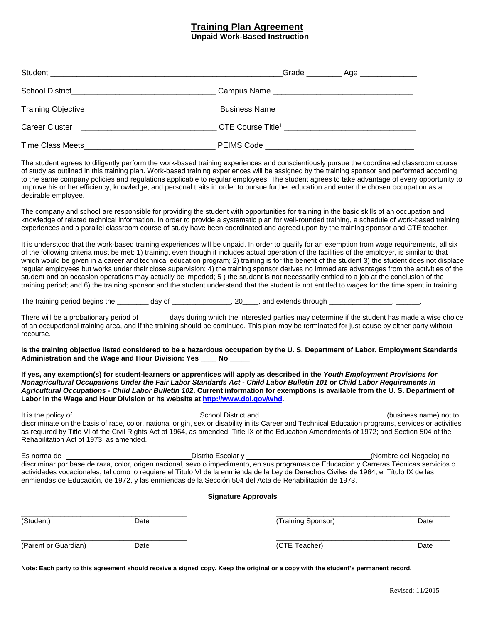## **Training Plan Agreement**

**Unpaid Work-Based Instruction**

| Career Cluster <b>Career</b> Cluster <b>Career</b> Cluster | CTE Course Title <sup>1</sup> __________________________________ |
|------------------------------------------------------------|------------------------------------------------------------------|
| Time Class Meets <b>Example 20</b> 2012 12:30 PEIMS Code   |                                                                  |

The student agrees to diligently perform the work-based training experiences and conscientiously pursue the coordinated classroom course of study as outlined in this training plan. Work-based training experiences will be assigned by the training sponsor and performed according to the same company policies and regulations applicable to regular employees. The student agrees to take advantage of every opportunity to improve his or her efficiency, knowledge, and personal traits in order to pursue further education and enter the chosen occupation as a desirable employee.

 knowledge of related technical information. In order to provide a systematic plan for well-rounded training, a schedule of work-based training The company and school are responsible for providing the student with opportunities for training in the basic skills of an occupation and experiences and a parallel classroom course of study have been coordinated and agreed upon by the training sponsor and CTE teacher.

 It is understood that the work-based training experiences will be unpaid. In order to qualify for an exemption from wage requirements, all six training period; and 6) the training sponsor and the student understand that the student is not entitled to wages for the time spent in training. of the following criteria must be met: 1) training, even though it includes actual operation of the facilities of the employer, is similar to that which would be given in a career and technical education program; 2) training is for the benefit of the student 3) the student does not displace regular employees but works under their close supervision; 4) the training sponsor derives no immediate advantages from the activities of the student and on occasion operations may actually be impeded; 5 ) the student is not necessarily entitled to a job at the conclusion of the

The training period begins the \_\_\_\_\_\_\_\_ day of \_\_\_\_\_\_\_\_\_\_\_\_\_\_, 20\_\_\_\_, and extends through \_\_\_\_\_\_\_\_\_\_\_\_\_\_\_, \_\_\_\_\_\_.

There will be a probationary period of days during which the interested parties may determine if the student has made a wise choice of an occupational training area, and if the training should be continued. This plan may be terminated for just cause by either party without recourse.

 **Administration and the Wage and Hour Division: Yes \_\_\_\_ No \_\_\_\_\_ Is the training objective listed considered to be a hazardous occupation by the U. S. Department of Labor, Employment Standards** 

**If yes, any exemption(s) for student-learners or apprentices will apply as described in the** *Youth Employment Provisions for Nonagricultural Occupations Under the Fair Labor Standards Act - Child Labor Bulletin 101* **or** *Child Labor Requirements in Agricultural Occupations - Child Labor Bulletin 102***. Current information for exemptions is available from the U. S. Department of Labor in the Wage and Hour Division or its website a[t http://www.dol.gov/whd.](http://www.dol.gov/whd)** 

It is the policy of as required by Title VI of the Civil Rights Act of 1964, as amended; Title IX of the Education Amendments of 1972; and Section 504 of the Rehabilitation Act of 1973, as amended. It is the policy of School District and (business name) not to discriminate on the basis of race, color, national origin, sex or disability in its Career and Technical Education programs, services or activities

Es norma de \_\_\_\_\_\_\_\_\_\_\_\_\_\_\_\_\_\_\_\_\_\_\_\_\_\_\_\_\_\_\_\_\_Distrito Escolar y \_\_\_\_\_\_\_\_\_\_\_\_\_\_\_\_\_\_\_\_\_\_\_\_\_\_\_\_\_\_\_(Nombre del Negocio) no actividades vocacionales, tal como lo requiere el Título VI de la enmienda de la Ley de Derechos Civiles de 1964, el Título IX de las discriminar por base de raza, color, origen nacional, sexo o impedimento, en sus programas de Educación y Carreras Técnicas servicios o enmiendas de Educación, de 1972, y las enmiendas de la Sección 504 del Acta de Rehabilitación de 1973.

## **Signature Approvals**

| (Student)<br>Date<br>(Parent or Guardian)<br>Date |  | (Training Sponsor) | Date |
|---------------------------------------------------|--|--------------------|------|
|                                                   |  | (CTE Teacher)      | Date |

 **Note: Each party to this agreement should receive a signed copy. Keep the original or a copy with the student's permanent record.**